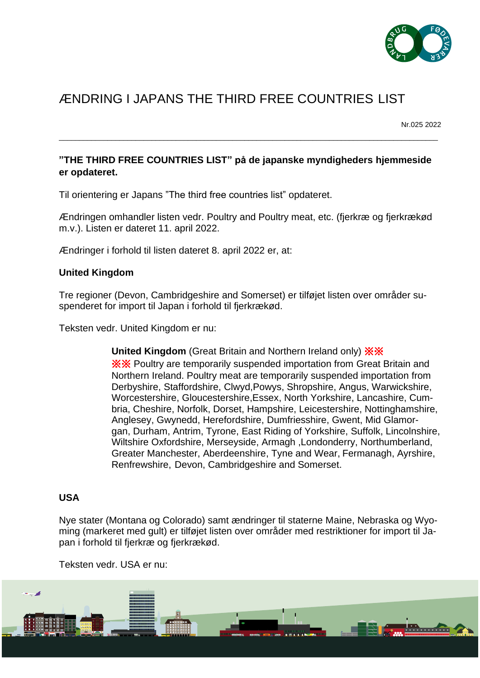

# ÆNDRING I JAPANS THE THIRD FREE COUNTRIES LIST

Nr.025 2022

## **"THE THIRD FREE COUNTRIES LIST" på de japanske myndigheders hjemmeside er opdateret.**

\_\_\_\_\_\_\_\_\_\_\_\_\_\_\_\_\_\_\_\_\_\_\_\_\_\_\_\_\_\_\_\_\_\_\_\_\_\_\_\_\_\_\_\_\_\_\_\_\_\_\_\_\_\_\_\_\_\_\_\_\_\_\_\_\_\_\_\_\_\_\_\_\_\_\_\_\_\_\_\_\_\_\_\_\_\_\_\_\_\_\_\_\_\_

Til orientering er Japans "The third free countries list" opdateret.

Ændringen omhandler listen vedr. Poultry and Poultry meat, etc. (fjerkræ og fjerkrækød m.v.). Listen er dateret 11. april 2022.

Ændringer i forhold til listen dateret 8. april 2022 er, at:

## **United Kingdom**

Tre regioner (Devon, Cambridgeshire and Somerset) er tilføjet listen over områder suspenderet for import til Japan i forhold til fjerkrækød.

Teksten vedr. United Kingdom er nu:

**United Kingdom** (Great Britain and Northern Ireland only) ※※ ※※ Poultry are temporarily suspended importation from Great Britain and Northern Ireland. Poultry meat are temporarily suspended importation from Derbyshire, Staffordshire, Clwyd,Powys, Shropshire, Angus, Warwickshire, Worcestershire, Gloucestershire,Essex, North Yorkshire, Lancashire, Cumbria, Cheshire, Norfolk, Dorset, Hampshire, Leicestershire, Nottinghamshire, Anglesey, Gwynedd, Herefordshire, Dumfriesshire, Gwent, Mid Glamorgan, Durham, Antrim, Tyrone, East Riding of Yorkshire, Suffolk, Lincolnshire, Wiltshire Oxfordshire, Merseyside, Armagh ,Londonderry, Northumberland, Greater Manchester, Aberdeenshire, Tyne and Wear, Fermanagh, Ayrshire, Renfrewshire, Devon, Cambridgeshire and Somerset.

## **USA**

Nye stater (Montana og Colorado) samt ændringer til staterne Maine, Nebraska og Wyoming (markeret med gult) er tilføjet listen over områder med restriktioner for import til Japan i forhold til fjerkræ og fjerkrækød.

Teksten vedr. USA er nu: